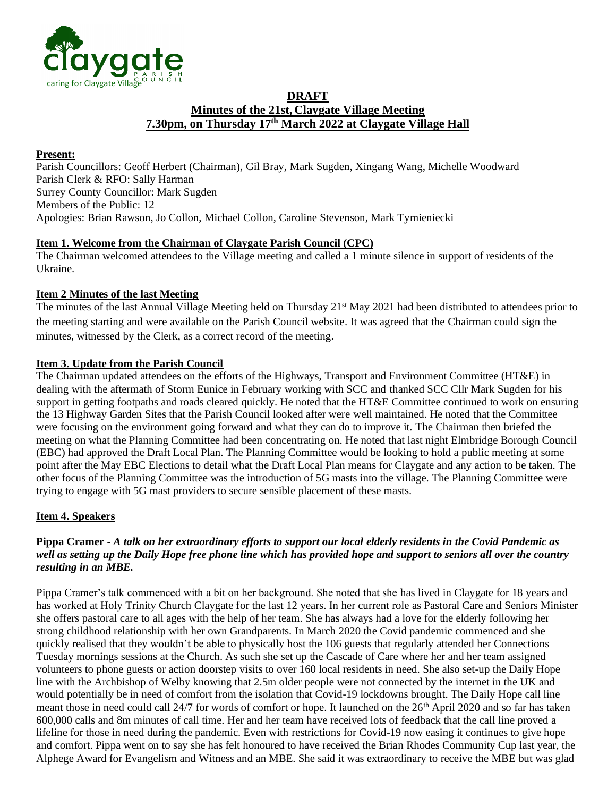

# **DRAFT Minutes of the 21st, Claygate Village Meeting 7.30pm, on Thursday 17th March 2022 at Claygate Village Hall**

# **Present:**

Parish Councillors: Geoff Herbert (Chairman), Gil Bray, Mark Sugden, Xingang Wang, Michelle Woodward Parish Clerk & RFO: Sally Harman Surrey County Councillor: Mark Sugden Members of the Public: 12 Apologies: Brian Rawson, Jo Collon, Michael Collon, Caroline Stevenson, Mark Tymieniecki

## **Item 1. Welcome from the Chairman of Claygate Parish Council (CPC)**

The Chairman welcomed attendees to the Village meeting and called a 1 minute silence in support of residents of the Ukraine.

# **Item 2 Minutes of the last Meeting**

The minutes of the last Annual Village Meeting held on Thursday 21<sup>st</sup> May 2021 had been distributed to attendees prior to the meeting starting and were available on the Parish Council website. It was agreed that the Chairman could sign the minutes, witnessed by the Clerk, as a correct record of the meeting.

## **Item 3. Update from the Parish Council**

The Chairman updated attendees on the efforts of the Highways, Transport and Environment Committee (HT&E) in dealing with the aftermath of Storm Eunice in February working with SCC and thanked SCC Cllr Mark Sugden for his support in getting footpaths and roads cleared quickly. He noted that the HT&E Committee continued to work on ensuring the 13 Highway Garden Sites that the Parish Council looked after were well maintained. He noted that the Committee were focusing on the environment going forward and what they can do to improve it. The Chairman then briefed the meeting on what the Planning Committee had been concentrating on. He noted that last night Elmbridge Borough Council (EBC) had approved the Draft Local Plan. The Planning Committee would be looking to hold a public meeting at some point after the May EBC Elections to detail what the Draft Local Plan means for Claygate and any action to be taken. The other focus of the Planning Committee was the introduction of 5G masts into the village. The Planning Committee were trying to engage with 5G mast providers to secure sensible placement of these masts.

#### **Item 4. Speakers**

# **Pippa Cramer -** *A talk on her extraordinary efforts to support our local elderly residents in the Covid Pandemic as well as setting up the Daily Hope free phone line which has provided hope and support to seniors all over the country resulting in an MBE.*

Pippa Cramer's talk commenced with a bit on her background. She noted that she has lived in Claygate for 18 years and has worked at Holy Trinity Church Claygate for the last 12 years. In her current role as Pastoral Care and Seniors Minister she offers pastoral care to all ages with the help of her team. She has always had a love for the elderly following her strong childhood relationship with her own Grandparents. In March 2020 the Covid pandemic commenced and she quickly realised that they wouldn't be able to physically host the 106 guests that regularly attended her Connections Tuesday mornings sessions at the Church. As such she set up the Cascade of Care where her and her team assigned volunteers to phone guests or action doorstep visits to over 160 local residents in need. She also set-up the Daily Hope line with the Archbishop of Welby knowing that 2.5m older people were not connected by the internet in the UK and would potentially be in need of comfort from the isolation that Covid-19 lockdowns brought. The Daily Hope call line meant those in need could call 24/7 for words of comfort or hope. It launched on the 26<sup>th</sup> April 2020 and so far has taken 600,000 calls and 8m minutes of call time. Her and her team have received lots of feedback that the call line proved a lifeline for those in need during the pandemic. Even with restrictions for Covid-19 now easing it continues to give hope and comfort. Pippa went on to say she has felt honoured to have received the Brian Rhodes Community Cup last year, the Alphege Award for Evangelism and Witness and an MBE. She said it was extraordinary to receive the MBE but was glad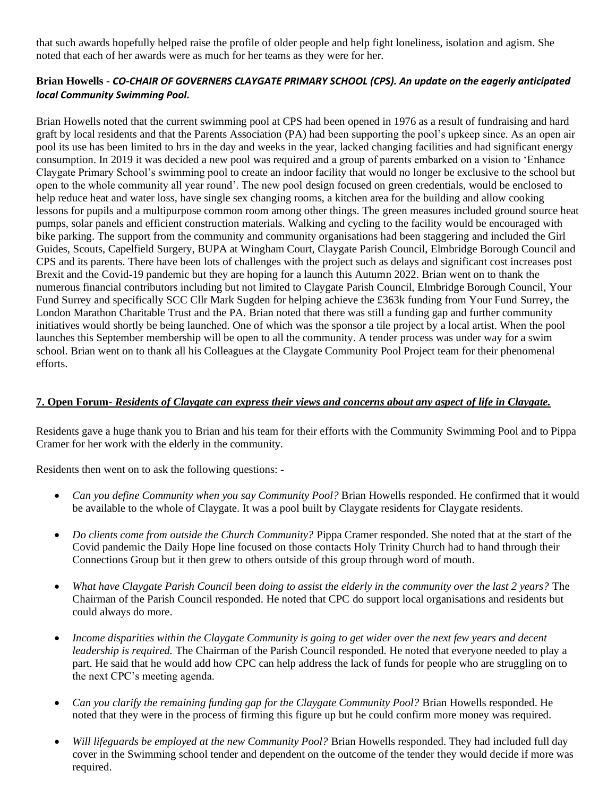that such awards hopefully helped raise the profile of older people and help fight loneliness, isolation and agism. She noted that each of her awards were as much for her teams as they were for her.

## **Brian Howells -** *CO-CHAIR OF GOVERNERS CLAYGATE PRIMARY SCHOOL (CPS). An update on the eagerly anticipated local Community Swimming Pool.*

Brian Howells noted that the current swimming pool at CPS had been opened in 1976 as a result of fundraising and hard graft by local residents and that the Parents Association (PA) had been supporting the pool's upkeep since. As an open air pool its use has been limited to hrs in the day and weeks in the year, lacked changing facilities and had significant energy consumption. In 2019 it was decided a new pool was required and a group of parents embarked on a vision to 'Enhance Claygate Primary School's swimming pool to create an indoor facility that would no longer be exclusive to the school but open to the whole community all year round'. The new pool design focused on green credentials, would be enclosed to help reduce heat and water loss, have single sex changing rooms, a kitchen area for the building and allow cooking lessons for pupils and a multipurpose common room among other things. The green measures included ground source heat pumps, solar panels and efficient construction materials. Walking and cycling to the facility would be encouraged with bike parking. The support from the community and community organisations had been staggering and included the Girl Guides, Scouts, Capelfield Surgery, BUPA at Wingham Court, Claygate Parish Council, Elmbridge Borough Council and CPS and its parents. There have been lots of challenges with the project such as delays and significant cost increases post Brexit and the Covid-19 pandemic but they are hoping for a launch this Autumn 2022. Brian went on to thank the numerous financial contributors including but not limited to Claygate Parish Council, Elmbridge Borough Council, Your Fund Surrey and specifically SCC Cllr Mark Sugden for helping achieve the £363k funding from Your Fund Surrey, the London Marathon Charitable Trust and the PA. Brian noted that there was still a funding gap and further community initiatives would shortly be being launched. One of which was the sponsor a tile project by a local artist. When the pool launches this September membership will be open to all the community. A tender process was under way for a swim school. Brian went on to thank all his Colleagues at the Claygate Community Pool Project team for their phenomenal efforts.

#### **7. Open Forum-** *Residents of Claygate can express their views and concerns about any aspect of life in Claygate.*

Residents gave a huge thank you to Brian and his team for their efforts with the Community Swimming Pool and to Pippa Cramer for her work with the elderly in the community.

Residents then went on to ask the following questions: -

- *Can you define Community when you say Community Pool?* Brian Howells responded. He confirmed that it would be available to the whole of Claygate. It was a pool built by Claygate residents for Claygate residents.
- *Do clients come from outside the Church Community?* Pippa Cramer responded. She noted that at the start of the Covid pandemic the Daily Hope line focused on those contacts Holy Trinity Church had to hand through their Connections Group but it then grew to others outside of this group through word of mouth.
- *What have Claygate Parish Council been doing to assist the elderly in the community over the last 2 years?* The Chairman of the Parish Council responded. He noted that CPC do support local organisations and residents but could always do more.
- *Income disparities within the Claygate Community is going to get wider over the next few years and decent leadership is required.* The Chairman of the Parish Council responded. He noted that everyone needed to play a part. He said that he would add how CPC can help address the lack of funds for people who are struggling on to the next CPC's meeting agenda.
- *Can you clarify the remaining funding gap for the Claygate Community Pool?* Brian Howells responded. He noted that they were in the process of firming this figure up but he could confirm more money was required.
- *Will lifeguards be employed at the new Community Pool?* Brian Howells responded. They had included full day cover in the Swimming school tender and dependent on the outcome of the tender they would decide if more was required.